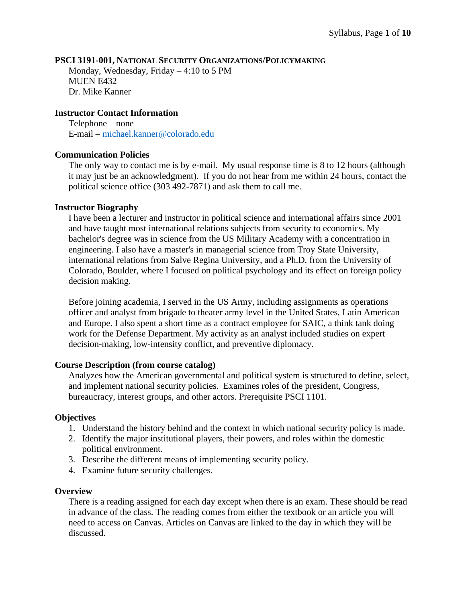#### **PSCI 3191-001, NATIONAL SECURITY ORGANIZATIONS/POLICYMAKING**

Monday, Wednesday, Friday – 4:10 to 5 PM MUEN E432 Dr. Mike Kanner

#### **Instructor Contact Information**

Telephone – none E-mail – [michael.kanner@colorado.edu](mailto:michael.kanner@colorado.edu)

#### **Communication Policies**

The only way to contact me is by e-mail. My usual response time is 8 to 12 hours (although it may just be an acknowledgment). If you do not hear from me within 24 hours, contact the political science office (303 492-7871) and ask them to call me.

#### **Instructor Biography**

I have been a lecturer and instructor in political science and international affairs since 2001 and have taught most international relations subjects from security to economics. My bachelor's degree was in science from the US Military Academy with a concentration in engineering. I also have a master's in managerial science from Troy State University, international relations from Salve Regina University, and a Ph.D. from the University of Colorado, Boulder, where I focused on political psychology and its effect on foreign policy decision making.

Before joining academia, I served in the US Army, including assignments as operations officer and analyst from brigade to theater army level in the United States, Latin American and Europe. I also spent a short time as a contract employee for SAIC, a think tank doing work for the Defense Department. My activity as an analyst included studies on expert decision-making, low-intensity conflict, and preventive diplomacy.

#### **Course Description (from course catalog)**

Analyzes how the American governmental and political system is structured to define, select, and implement national security policies. Examines roles of the president, Congress, bureaucracy, interest groups, and other actors. Prerequisite PSCI 1101.

#### **Objectives**

- 1. Understand the history behind and the context in which national security policy is made.
- 2. Identify the major institutional players, their powers, and roles within the domestic political environment.
- 3. Describe the different means of implementing security policy.
- 4. Examine future security challenges.

#### **Overview**

There is a reading assigned for each day except when there is an exam. These should be read in advance of the class. The reading comes from either the textbook or an article you will need to access on Canvas. Articles on Canvas are linked to the day in which they will be discussed.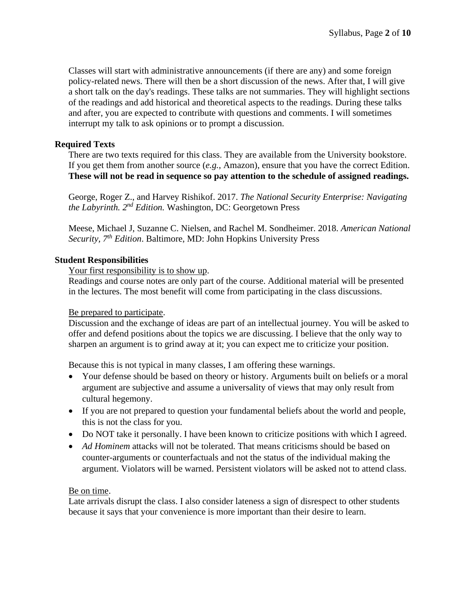Classes will start with administrative announcements (if there are any) and some foreign policy-related news. There will then be a short discussion of the news. After that, I will give a short talk on the day's readings. These talks are not summaries. They will highlight sections of the readings and add historical and theoretical aspects to the readings. During these talks and after, you are expected to contribute with questions and comments. I will sometimes interrupt my talk to ask opinions or to prompt a discussion.

## **Required Texts**

There are two texts required for this class. They are available from the University bookstore. If you get them from another source (*e.g.*, Amazon), ensure that you have the correct Edition. **These will not be read in sequence so pay attention to the schedule of assigned readings.**

George, Roger Z., and Harvey Rishikof. 2017. *The National Security Enterprise: Navigating the Labyrinth. 2 nd Edition.* Washington, DC: Georgetown Press

Meese, Michael J, Suzanne C. Nielsen, and Rachel M. Sondheimer. 2018. *American National Security, 7th Edition*. Baltimore, MD: John Hopkins University Press

## **Student Responsibilities**

Your first responsibility is to show up.

Readings and course notes are only part of the course. Additional material will be presented in the lectures. The most benefit will come from participating in the class discussions.

#### Be prepared to participate.

Discussion and the exchange of ideas are part of an intellectual journey. You will be asked to offer and defend positions about the topics we are discussing. I believe that the only way to sharpen an argument is to grind away at it; you can expect me to criticize your position.

Because this is not typical in many classes, I am offering these warnings.

- Your defense should be based on theory or history. Arguments built on beliefs or a moral argument are subjective and assume a universality of views that may only result from cultural hegemony.
- If you are not prepared to question your fundamental beliefs about the world and people, this is not the class for you.
- Do NOT take it personally. I have been known to criticize positions with which I agreed.
- *Ad Hominem* attacks will not be tolerated. That means criticisms should be based on counter-arguments or counterfactuals and not the status of the individual making the argument. Violators will be warned. Persistent violators will be asked not to attend class.

#### Be on time.

Late arrivals disrupt the class. I also consider lateness a sign of disrespect to other students because it says that your convenience is more important than their desire to learn.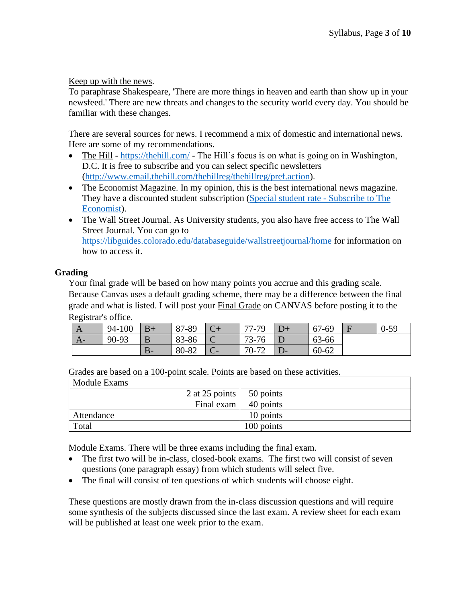Keep up with the news.

To paraphrase Shakespeare, 'There are more things in heaven and earth than show up in your newsfeed.' There are new threats and changes to the security world every day. You should be familiar with these changes.

There are several sources for news. I recommend a mix of domestic and international news. Here are some of my recommendations.

- The Hill <https://thehill.com/> The Hill's focus is on what is going on in Washington, D.C. It is free to subscribe and you can select specific newsletters [\(http://www.email.thehill.com/thehillreg/thehillreg/pref.action\)](http://www.email.thehill.com/thehillreg/thehillreg/pref.action).
- The Economist Magazine. In my opinion, this is the best international news magazine. They have a discounted student subscription [\(Special student rate -](https://subscribenow.economist.com/na-us/student/) Subscribe to The [Economist\)](https://subscribenow.economist.com/na-us/student/).
- The Wall Street Journal. As University students, you also have free access to The Wall Street Journal. You can go to <https://libguides.colorado.edu/databaseguide/wallstreetjournal/home> for information on how to access it.

# **Grading**

Your final grade will be based on how many points you accrue and this grading scale. Because Canvas uses a default grading scheme, there may be a difference between the final grade and what is listed. I will post your Final Grade on CANVAS before posting it to the Registrar's office.

| A    | 94-100 | $B+$    | 87-89 |        | -79<br>-77- . | 67-69 | $0 - 59$ |
|------|--------|---------|-------|--------|---------------|-------|----------|
| $A-$ | 90-93  |         | 83-86 | ֊      | 73-76         | 63-66 |          |
|      |        | D<br>D- | 80-82 | $\sim$ | 70-72         | 60-62 |          |

Grades are based on a 100-point scale. Points are based on these activities.

| Module Exams           |            |
|------------------------|------------|
| 2 at 25 points $\vert$ | 50 points  |
| Final exam             | 40 points  |
| Attendance             | 10 points  |
| Total                  | 100 points |

Module Exams. There will be three exams including the final exam.

- The first two will be in-class, closed-book exams. The first two will consist of seven questions (one paragraph essay) from which students will select five.
- The final will consist of ten questions of which students will choose eight.

These questions are mostly drawn from the in-class discussion questions and will require some synthesis of the subjects discussed since the last exam. A review sheet for each exam will be published at least one week prior to the exam.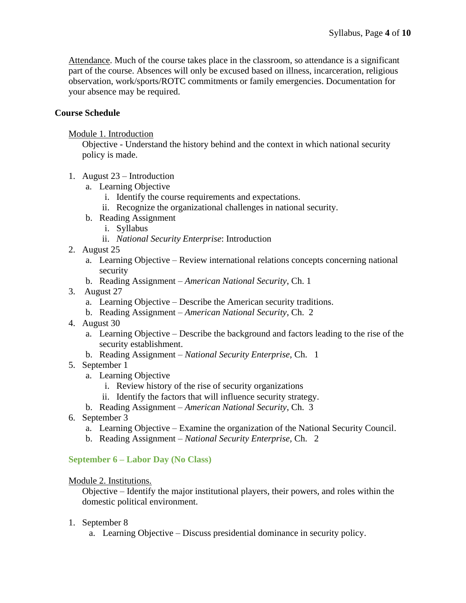Attendance. Much of the course takes place in the classroom, so attendance is a significant part of the course. Absences will only be excused based on illness, incarceration, religious observation, work/sports/ROTC commitments or family emergencies. Documentation for your absence may be required.

# **Course Schedule**

## Module 1. Introduction

Objective - Understand the history behind and the context in which national security policy is made.

- 1. August 23 Introduction
	- a. Learning Objective
		- i. Identify the course requirements and expectations.
		- ii. Recognize the organizational challenges in national security.
	- b. Reading Assignment
		- i. Syllabus
		- ii. *National Security Enterprise*: Introduction
- 2. August 25
	- a. Learning Objective Review international relations concepts concerning national security
	- b. Reading Assignment *American National Security*, Ch. 1
- 3. August 27
	- a. Learning Objective Describe the American security traditions.
	- b. Reading Assignment *American National Security*, Ch. 2
- 4. August 30
	- a. Learning Objective Describe the background and factors leading to the rise of the security establishment.
	- b. Reading Assignment *National Security Enterprise,* Ch. 1
- 5. September 1
	- a. Learning Objective
		- i. Review history of the rise of security organizations
		- ii. Identify the factors that will influence security strategy.
	- b. Reading Assignment *American National Security*, Ch. 3
- 6. September 3
	- a. Learning Objective Examine the organization of the National Security Council.
	- b. Reading Assignment *National Security Enterprise,* Ch. 2

## **September 6 – Labor Day (No Class)**

#### Module 2. Institutions.

Objective – Identify the major institutional players, their powers, and roles within the domestic political environment.

- 1. September 8
	- a. Learning Objective Discuss presidential dominance in security policy.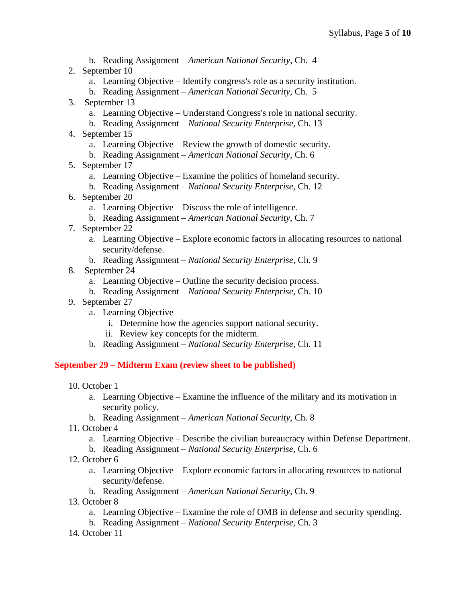- b. Reading Assignment *American National Security*, Ch. 4
- 2. September 10
	- a. Learning Objective Identify congress's role as a security institution.
	- b. Reading Assignment *American National Security*, Ch. 5
- 3. September 13
	- a. Learning Objective Understand Congress's role in national security.
	- b. Reading Assignment *National Security Enterprise,* Ch. 13
- 4. September 15
	- a. Learning Objective Review the growth of domestic security.
	- b. Reading Assignment *American National Security*, Ch. 6
- 5. September 17
	- a. Learning Objective Examine the politics of homeland security.
	- b. Reading Assignment *National Security Enterprise,* Ch. 12
- 6. September 20
	- a. Learning Objective Discuss the role of intelligence.
	- b. Reading Assignment *American National Security*, Ch. 7
- 7. September 22
	- a. Learning Objective Explore economic factors in allocating resources to national security/defense.
	- b. Reading Assignment *National Security Enterprise,* Ch. 9
- 8. September 24
	- a. Learning Objective Outline the security decision process.
	- b. Reading Assignment *National Security Enterprise,* Ch. 10
- 9. September 27
	- a. Learning Objective
		- i. Determine how the agencies support national security.
		- ii. Review key concepts for the midterm.
	- b. Reading Assignment *National Security Enterprise,* Ch. 11

## **September 29 – Midterm Exam (review sheet to be published)**

- 10. October 1
	- a. Learning Objective Examine the influence of the military and its motivation in security policy.
	- b. Reading Assignment *American National Security*, Ch. 8
- 11. October 4
	- a. Learning Objective Describe the civilian bureaucracy within Defense Department.
	- b. Reading Assignment *National Security Enterprise,* Ch. 6
- 12. October 6
	- a. Learning Objective Explore economic factors in allocating resources to national security/defense.
	- b. Reading Assignment *American National Security*, Ch. 9
- 13. October 8
	- a. Learning Objective Examine the role of OMB in defense and security spending.
	- b. Reading Assignment *National Security Enterprise,* Ch. 3
- 14. October 11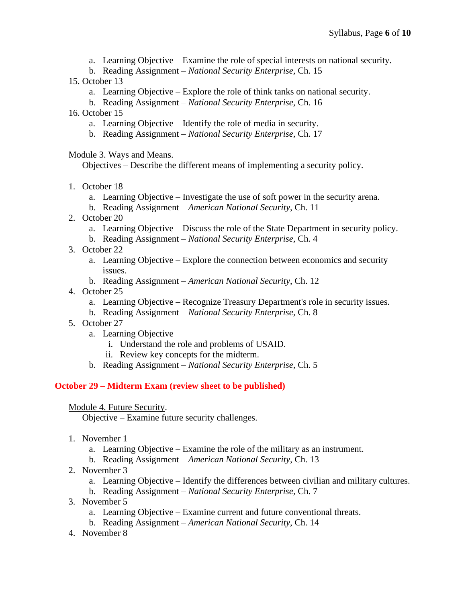- a. Learning Objective Examine the role of special interests on national security.
- b. Reading Assignment *National Security Enterprise,* Ch. 15
- 15. October 13
	- a. Learning Objective Explore the role of think tanks on national security.
	- b. Reading Assignment *National Security Enterprise,* Ch. 16
- 16. October 15
	- a. Learning Objective Identify the role of media in security.
	- b. Reading Assignment *National Security Enterprise,* Ch. 17

Module 3. Ways and Means.

Objectives – Describe the different means of implementing a security policy.

- 1. October 18
	- a. Learning Objective Investigate the use of soft power in the security arena.
	- b. Reading Assignment *American National Security*, Ch. 11
- 2. October 20
	- a. Learning Objective Discuss the role of the State Department in security policy.
	- b. Reading Assignment *National Security Enterprise,* Ch. 4
- 3. October 22
	- a. Learning Objective Explore the connection between economics and security issues.
	- b. Reading Assignment *American National Security*, Ch. 12
- 4. October 25
	- a. Learning Objective Recognize Treasury Department's role in security issues.
	- b. Reading Assignment *National Security Enterprise,* Ch. 8
- 5. October 27
	- a. Learning Objective
		- i. Understand the role and problems of USAID.
		- ii. Review key concepts for the midterm.
	- b. Reading Assignment *National Security Enterprise,* Ch. 5

# **October 29 – Midterm Exam (review sheet to be published)**

## Module 4. Future Security.

Objective – Examine future security challenges.

- 1. November 1
	- a. Learning Objective Examine the role of the military as an instrument.
	- b. Reading Assignment *American National Security*, Ch. 13
- 2. November 3
	- a. Learning Objective Identify the differences between civilian and military cultures.
	- b. Reading Assignment *National Security Enterprise,* Ch. 7
- 3. November 5
	- a. Learning Objective Examine current and future conventional threats.
	- b. Reading Assignment *American National Security*, Ch. 14
- 4. November 8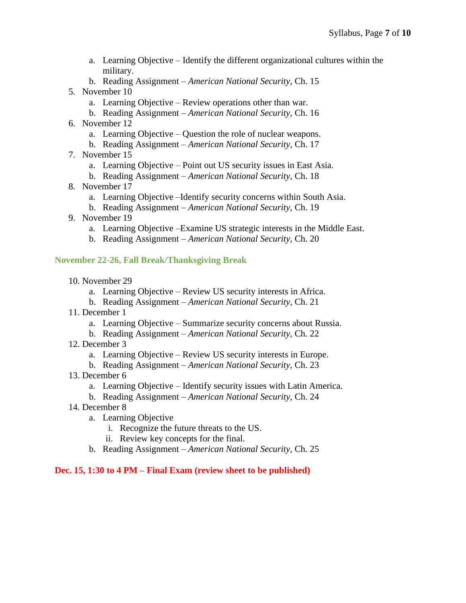- a. Learning Objective Identify the different organizational cultures within the military.
- b. Reading Assignment *American National Security*, Ch. 15
- 5. November 10
	- a. Learning Objective Review operations other than war.
	- b. Reading Assignment *American National Security*, Ch. 16
- 6. November 12
	- a. Learning Objective Question the role of nuclear weapons.
	- b. Reading Assignment *American National Security*, Ch. 17
- 7. November 15
	- a. Learning Objective Point out US security issues in East Asia.
	- b. Reading Assignment *American National Security*, Ch. 18
- 8. November 17
	- a. Learning Objective –Identify security concerns within South Asia.
	- b. Reading Assignment *American National Security*, Ch. 19
- 9. November 19
	- a. Learning Objective –Examine US strategic interests in the Middle East.
	- b. Reading Assignment *American National Security*, Ch. 20

## **November 22-26, Fall Break/Thanksgiving Break**

- 10. November 29
	- a. Learning Objective Review US security interests in Africa.
	- b. Reading Assignment *American National Security*, Ch. 21
- 11. December 1
	- a. Learning Objective Summarize security concerns about Russia.
	- b. Reading Assignment *American National Security*, Ch. 22
- 12. December 3
	- a. Learning Objective Review US security interests in Europe.
	- b. Reading Assignment *American National Security*, Ch. 23
- 13. December 6
	- a. Learning Objective Identify security issues with Latin America.
	- b. Reading Assignment *American National Security*, Ch. 24
- 14. December 8
	- a. Learning Objective
		- i. Recognize the future threats to the US.
		- ii. Review key concepts for the final.
	- b. Reading Assignment *American National Security*, Ch. 25

#### **Dec. 15, 1:30 to 4 PM – Final Exam (review sheet to be published)**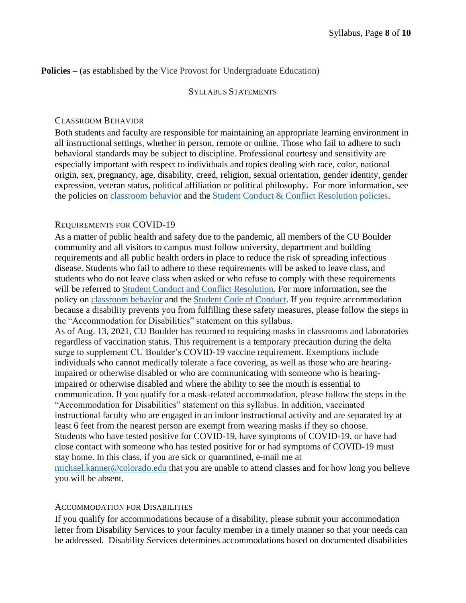### **Policies** – (as established by the Vice Provost for Undergraduate Education)

#### SYLLABUS STATEMENTS

#### CLASSROOM BEHAVIOR

Both students and faculty are responsible for maintaining an appropriate learning environment in all instructional settings, whether in person, remote or online. Those who fail to adhere to such behavioral standards may be subject to discipline. Professional courtesy and sensitivity are especially important with respect to individuals and topics dealing with race, color, national origin, sex, pregnancy, age, disability, creed, religion, sexual orientation, gender identity, gender expression, veteran status, political affiliation or political philosophy. For more information, see the policies on [classroom behavior](http://www.colorado.edu/policies/student-classroom-and-course-related-behavior) and the [Student Conduct & Conflict Resolution policies.](https://www.colorado.edu/sccr/student-conduct)

## REQUIREMENTS FOR COVID-19

As a matter of public health and safety due to the pandemic, all members of the CU Boulder community and all visitors to campus must follow university, department and building requirements and all public health orders in place to reduce the risk of spreading infectious disease. Students who fail to adhere to these requirements will be asked to leave class, and students who do not leave class when asked or who refuse to comply with these requirements will be referred to [Student Conduct and Conflict Resolution.](https://www.colorado.edu/sccr/) For more information, see the policy o[n](https://www.colorado.edu/policies/covid-19-health-and-safety-policy) [classroom behavior](http://www.colorado.edu/policies/student-classroom-and-course-related-behavior) and th[e](http://www.colorado.edu/osccr/) [Student Code of Conduct.](http://www.colorado.edu/osccr/) If you require accommodation because a disability prevents you from fulfilling these safety measures, please follow the steps in the "Accommodation for Disabilities" statement on this syllabus.

As of Aug. 13, 2021, CU Boulder has returned to requiring masks in classrooms and laboratories regardless of vaccination status. This requirement is a temporary precaution during the delta surge to supplement CU Boulder's COVID-19 vaccine requirement. Exemptions include individuals who cannot medically tolerate a face covering, as well as those who are hearingimpaired or otherwise disabled or who are communicating with someone who is hearingimpaired or otherwise disabled and where the ability to see the mouth is essential to communication. If you qualify for a mask-related accommodation, please follow the steps in the "Accommodation for Disabilities" statement on this syllabus. In addition, vaccinated instructional faculty who are engaged in an indoor instructional activity and are separated by at least 6 feet from the nearest person are exempt from wearing masks if they so choose. Students who have tested positive for COVID-19, have symptoms of COVID-19, or have had close contact with someone who has tested positive for or had symptoms of COVID-19 must stay home. In this class, if you are sick or quarantined, e-mail me at [michael.kanner@colorado.edu](mailto:michael.kanner@colorado.edu) that you are unable to attend classes and for how long you believe you will be absent.

#### ACCOMMODATION FOR DISABILITIES

If you qualify for accommodations because of a disability, please submit your accommodation letter from Disability Services to your faculty member in a timely manner so that your needs can be addressed. Disability Services determines accommodations based on documented disabilities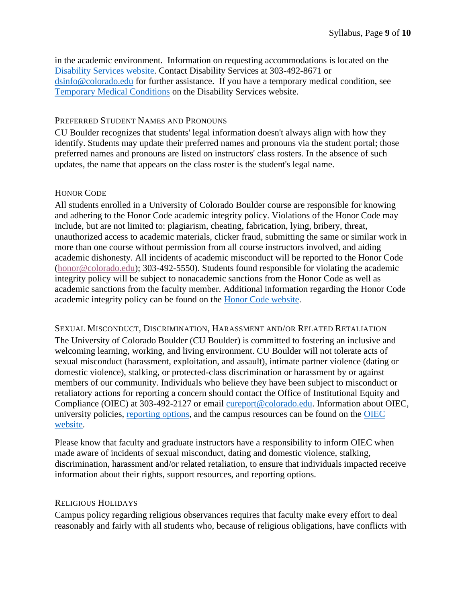in the academic environment. Information on requesting accommodations is located on the [Disability Services website.](https://www.colorado.edu/disabilityservices/) Contact Disability Services at 303-492-8671 or [dsinfo@colorado.edu](mailto:dsinfo@colorado.edu) for further assistance. If you have a temporary medical condition, see [Temporary Medical Conditions](http://www.colorado.edu/disabilityservices/students/temporary-medical-conditions) on the Disability Services website.

### PREFERRED STUDENT NAMES AND PRONOUNS

CU Boulder recognizes that students' legal information doesn't always align with how they identify. Students may update their preferred names and pronouns via the student portal; those preferred names and pronouns are listed on instructors' class rosters. In the absence of such updates, the name that appears on the class roster is the student's legal name.

## HONOR CODE

All students enrolled in a University of Colorado Boulder course are responsible for knowing and adhering to the Honor Code academic integrity policy. Violations of the Honor Code may include, but are not limited to: plagiarism, cheating, fabrication, lying, bribery, threat, unauthorized access to academic materials, clicker fraud, submitting the same or similar work in more than one course without permission from all course instructors involved, and aiding academic dishonesty. All incidents of academic misconduct will be reported to the Honor Code [\(honor@colorado.edu\)](mailto:honor@colorado.edu); 303-492-5550). Students found responsible for violating the academic integrity policy will be subject to nonacademic sanctions from the Honor Code as well as academic sanctions from the faculty member. Additional information regarding the Honor Code academic integrity policy can be found on the [Honor Code website.](https://www.colorado.edu/osccr/honor-code)

SEXUAL MISCONDUCT, DISCRIMINATION, HARASSMENT AND/OR RELATED RETALIATION The University of Colorado Boulder (CU Boulder) is committed to fostering an inclusive and welcoming learning, working, and living environment. CU Boulder will not tolerate acts of sexual misconduct (harassment, exploitation, and assault), intimate partner violence (dating or domestic violence), stalking, or protected-class discrimination or harassment by or against members of our community. Individuals who believe they have been subject to misconduct or retaliatory actions for reporting a concern should contact the Office of Institutional Equity and Compliance (OIEC) at 303-492-2127 or email [cureport@colorado.edu.](mailto:cureport@colorado.edu) Information about OIEC, university policies, [reporting](https://www.colorado.edu/oiec/reporting-resolutions/making-report) options, and the campus resources can be found on the [OIEC](http://www.colorado.edu/institutionalequity/)  [website.](http://www.colorado.edu/institutionalequity/)

Please know that faculty and graduate instructors have a responsibility to inform OIEC when made aware of incidents of sexual misconduct, dating and domestic violence, stalking, discrimination, harassment and/or related retaliation, to ensure that individuals impacted receive information about their rights, support resources, and reporting options.

#### RELIGIOUS HOLIDAYS

Campus policy regarding religious observances requires that faculty make every effort to deal reasonably and fairly with all students who, because of religious obligations, have conflicts with